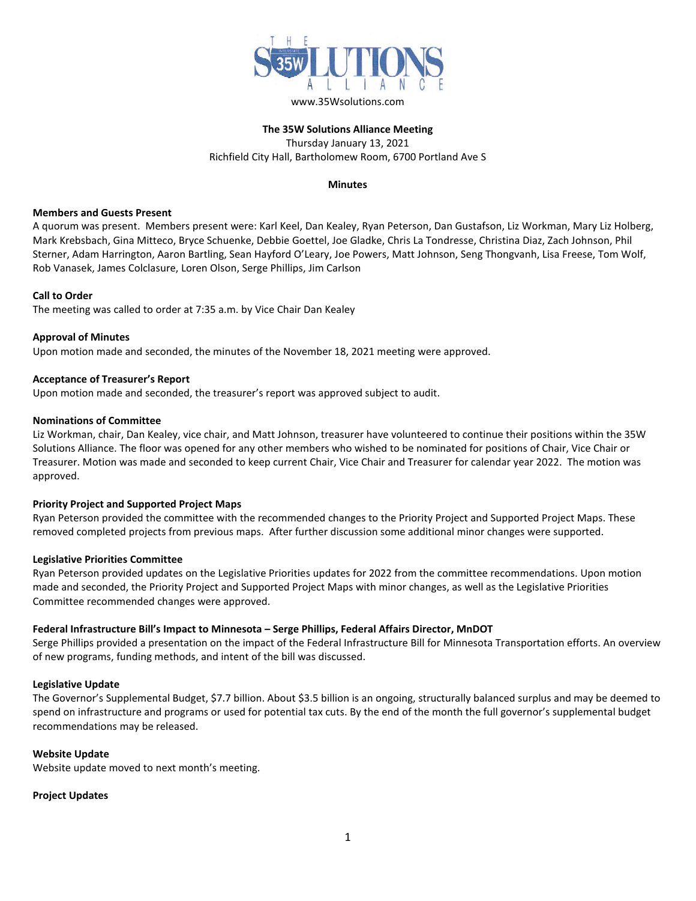

## **The 35W Solutions Alliance Meeting** Thursday January 13, 2021 Richfield City Hall, Bartholomew Room, 6700 Portland Ave S

## **Minutes**

## **Members and Guests Present**

A quorum was present. Members present were: Karl Keel, Dan Kealey, Ryan Peterson, Dan Gustafson, Liz Workman, Mary Liz Holberg, Mark Krebsbach, Gina Mitteco, Bryce Schuenke, Debbie Goettel, Joe Gladke, Chris La Tondresse, Christina Diaz, Zach Johnson, Phil Sterner, Adam Harrington, Aaron Bartling, Sean Hayford O'Leary, Joe Powers, Matt Johnson, Seng Thongvanh, Lisa Freese, Tom Wolf, Rob Vanasek, James Colclasure, Loren Olson, Serge Phillips, Jim Carlson

#### **Call to Order**

The meeting was called to order at 7:35 a.m. by Vice Chair Dan Kealey

## **Approval of Minutes**

Upon motion made and seconded, the minutes of the November 18, 2021 meeting were approved.

## **Acceptance of Treasurer's Report**

Upon motion made and seconded, the treasurer's report was approved subject to audit.

#### **Nominations of Committee**

Liz Workman, chair, Dan Kealey, vice chair, and Matt Johnson, treasurer have volunteered to continue their positions within the 35W Solutions Alliance. The floor was opened for any other members who wished to be nominated for positions of Chair, Vice Chair or Treasurer. Motion was made and seconded to keep current Chair, Vice Chair and Treasurer for calendar year 2022. The motion was approved.

## **Priority Project and Supported Project Maps**

Ryan Peterson provided the committee with the recommended changes to the Priority Project and Supported Project Maps. These removed completed projects from previous maps. After further discussion some additional minor changes were supported.

#### **Legislative Priorities Committee**

Ryan Peterson provided updates on the Legislative Priorities updates for 2022 from the committee recommendations. Upon motion made and seconded, the Priority Project and Supported Project Maps with minor changes, as well as the Legislative Priorities Committee recommended changes were approved.

## **Federal Infrastructure Bill's Impact to Minnesota – Serge Phillips, Federal Affairs Director, MnDOT**

Serge Phillips provided a presentation on the impact of the Federal Infrastructure Bill for Minnesota Transportation efforts. An overview of new programs, funding methods, and intent of the bill was discussed.

#### **Legislative Update**

The Governor's Supplemental Budget, \$7.7 billion. About \$3.5 billion is an ongoing, structurally balanced surplus and may be deemed to spend on infrastructure and programs or used for potential tax cuts. By the end of the month the full governor's supplemental budget recommendations may be released.

## **Website Update**

Website update moved to next month's meeting.

#### **Project Updates**